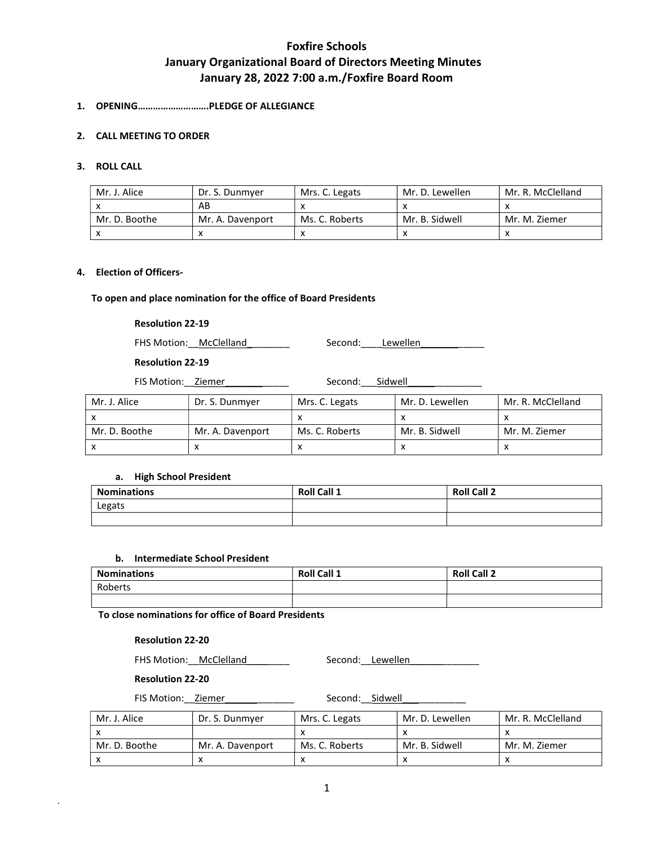# 1. OPENING……………………….PLEDGE OF ALLEGIANCE

## 2. CALL MEETING TO ORDER

## 3. ROLL CALL

| Mr. J. Alice  | Dr. S. Dunmver   | Mrs. C. Legats | Mr. D. Lewellen | Mr. R. McClelland |
|---------------|------------------|----------------|-----------------|-------------------|
|               | AB               |                |                 |                   |
| Mr. D. Boothe | Mr. A. Davenport | Ms. C. Roberts | Mr. B. Sidwell  | Mr. M. Ziemer     |
|               |                  |                |                 |                   |

#### 4. Election of Officers-

## To open and place nomination for the office of Board Presidents

## Resolution 22-19

FHS Motion: McClelland Manual Mecond: Lewellen

## Resolution 22-19

FIS Motion: Ziemer \_\_\_\_\_\_\_\_\_\_\_ Second: Sidwell

| Mr. J. Alice  | Dr. S. Dunmyer   | Mrs. C. Legats | Mr. D. Lewellen | Mr. R. McClelland |
|---------------|------------------|----------------|-----------------|-------------------|
|               |                  |                |                 |                   |
| Mr. D. Boothe | Mr. A. Davenport | Ms. C. Roberts | Mr. B. Sidwell  | Mr. M. Ziemer     |
|               |                  |                |                 |                   |

### a. High School President

| <b>Nominations</b> | Roll Call 1 | <b>Roll Call 2</b> |
|--------------------|-------------|--------------------|
| Legats             |             |                    |
|                    |             |                    |

#### b. Intermediate School President

| <b>Nominations</b> | <b>Roll Call 1</b> | <b>Roll Call 2</b> |
|--------------------|--------------------|--------------------|
| Roberts            |                    |                    |
|                    |                    |                    |

To close nominations for office of Board Presidents

## Resolution 22-20

FHS Motion: \_\_McClelland \_\_\_\_\_\_\_\_ Second: \_\_Lewellen \_\_\_\_\_\_\_\_\_\_\_\_\_\_\_\_\_\_\_\_\_\_\_\_\_\_\_

#### Resolution 22-20

.

FIS Motion: Ziemer \_\_\_\_\_\_\_\_\_\_ Second: Sidwell

| Mr. J. Alice  | Dr. S. Dunmyer   | Mrs. C. Legats | Mr. D. Lewellen | Mr. R. McClelland |
|---------------|------------------|----------------|-----------------|-------------------|
|               |                  |                |                 |                   |
| Mr. D. Boothe | Mr. A. Davenport | Ms. C. Roberts | Mr. B. Sidwell  | Mr. M. Ziemer     |
|               |                  |                |                 |                   |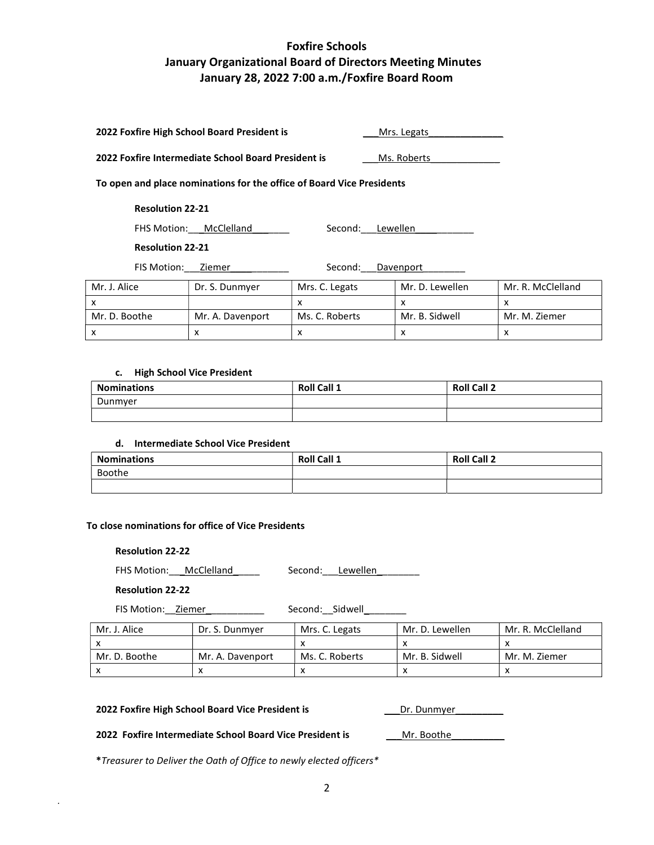| 2022 Foxfire High School Board President is         |                                                                       |                           | Mrs. Legats     |                           |
|-----------------------------------------------------|-----------------------------------------------------------------------|---------------------------|-----------------|---------------------------|
| 2022 Foxfire Intermediate School Board President is |                                                                       |                           | Ms. Roberts     |                           |
|                                                     | To open and place nominations for the office of Board Vice Presidents |                           |                 |                           |
| <b>Resolution 22-21</b>                             |                                                                       |                           |                 |                           |
|                                                     | FHS Motion: McClelland                                                | Second:                   | Lewellen        |                           |
| <b>Resolution 22-21</b>                             |                                                                       |                           |                 |                           |
| FIS Motion:                                         | Ziemer                                                                | Second:                   | Davenport       |                           |
| Mr. J. Alice                                        | Dr. S. Dunmyer                                                        | Mrs. C. Legats            | Mr. D. Lewellen | Mr. R. McClelland         |
| x                                                   |                                                                       | $\boldsymbol{\mathsf{x}}$ | x               | $\boldsymbol{\mathsf{x}}$ |
| Mr. D. Boothe                                       | Mr. A. Davenport                                                      | Ms. C. Roberts            | Mr. B. Sidwell  | Mr. M. Ziemer             |
| x                                                   | x                                                                     | x                         | x               | x                         |

## c. High School Vice President

| <b>Nominations</b> | <b>Roll Call 1</b> | <b>Roll Call 2</b> |
|--------------------|--------------------|--------------------|
| Dunmyer            |                    |                    |
|                    |                    |                    |

## d. Intermediate School Vice President

| <b>Nominations</b> | <b>Roll Call 1</b> | <b>Roll Call 2</b> |
|--------------------|--------------------|--------------------|
| Boothe             |                    |                    |
|                    |                    |                    |

# To close nominations for office of Vice Presidents

# Resolution 22-22

FHS Motion:\_\_\_McClelland\_\_\_\_\_ Second:\_\_\_Lewellen\_\_\_\_\_\_\_\_

## Resolution 22-22

.

FIS Motion: \_\_Ziemer\_\_\_\_\_\_\_\_\_\_\_\_\_\_\_\_\_\_\_\_\_\_\_\_\_ Second: \_\_Sidwell\_\_\_\_\_\_\_\_\_\_\_

| Mr. J. Alice  | Dr. S. Dunmver   | Mrs. C. Legats | Mr. D. Lewellen | Mr. R. McClelland |
|---------------|------------------|----------------|-----------------|-------------------|
|               |                  |                |                 |                   |
| Mr. D. Boothe | Mr. A. Davenport | Ms. C. Roberts | Mr. B. Sidwell  | Mr. M. Ziemer     |
|               |                  |                |                 |                   |

#### 2022 Foxfire High School Board Vice President is \_\_\_\_\_\_\_\_\_\_\_\_\_\_\_\_Dr. Dunmyer

#### 2022 Foxfire Intermediate School Board Vice President is Mr. Boothe

\*Treasurer to Deliver the Oath of Office to newly elected officers\*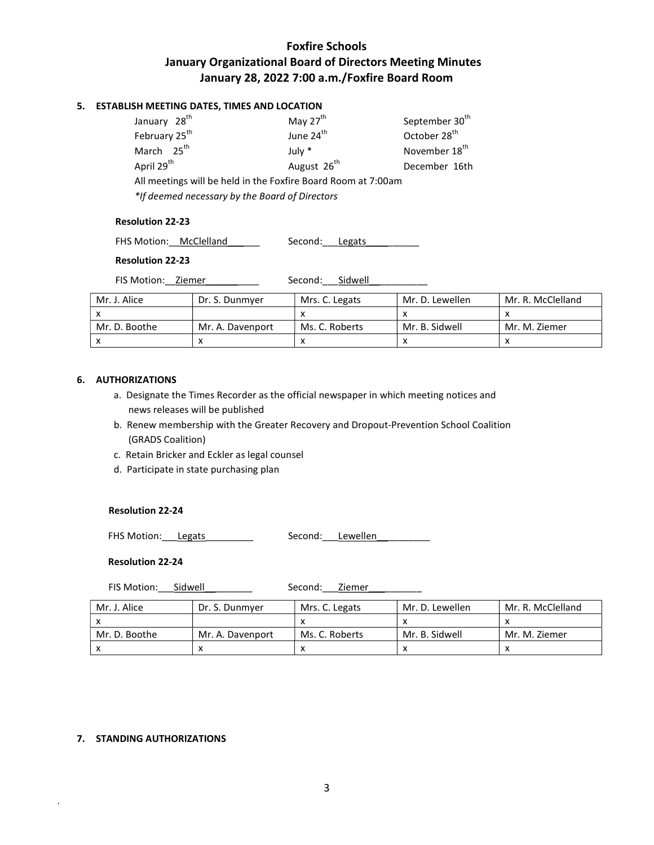# 5. ESTABLISH MEETING DATES, TIMES AND LOCATION

| January 28 <sup>th</sup>                                      | May 27 <sup>th</sup>    | September 30 <sup>th</sup> |  |  |  |  |
|---------------------------------------------------------------|-------------------------|----------------------------|--|--|--|--|
| February 25 <sup>th</sup>                                     | June 24 <sup>th</sup>   | October 28 <sup>th</sup>   |  |  |  |  |
| March 25 <sup>th</sup>                                        | July $*$                | November 18 <sup>th</sup>  |  |  |  |  |
| April 29 <sup>th</sup>                                        | August 26 <sup>th</sup> | December 16th              |  |  |  |  |
| All meetings will be held in the Foxfire Board Room at 7:00am |                         |                            |  |  |  |  |
| *If deemed necessary by the Board of Directors                |                         |                            |  |  |  |  |

#### Resolution 22-23

FHS Motion: McClelland \_\_\_\_\_\_ Second: Legats \_\_\_\_\_\_\_\_

## Resolution 22-23

FIS Motion: Ziemer Second: Sidwell

| Mr. J. Alice  | Dr. S. Dunmyer   | Mrs. C. Legats | Mr. D. Lewellen | Mr. R. McClelland |
|---------------|------------------|----------------|-----------------|-------------------|
|               |                  |                |                 |                   |
| Mr. D. Boothe | Mr. A. Davenport | Ms. C. Roberts | Mr. B. Sidwell  | Mr. M. Ziemer     |
|               |                  |                |                 |                   |

## 6. AUTHORIZATIONS

- a. Designate the Times Recorder as the official newspaper in which meeting notices and news releases will be published
- b. Renew membership with the Greater Recovery and Dropout-Prevention School Coalition (GRADS Coalition)
- c. Retain Bricker and Eckler as legal counsel
- d. Participate in state purchasing plan

## Resolution 22-24

FHS Motion: Legats Cond: Lewellen

#### Resolution 22-24

FIS Motion: Sidwell Second: Ziemer

| Mr. J. Alice  | Dr. S. Dunmver   | Mrs. C. Legats | Mr. D. Lewellen | Mr. R. McClelland |
|---------------|------------------|----------------|-----------------|-------------------|
|               |                  |                |                 |                   |
| Mr. D. Boothe | Mr. A. Davenport | Ms. C. Roberts | Mr. B. Sidwell  | Mr. M. Ziemer     |
|               |                  |                |                 |                   |

## 7. STANDING AUTHORIZATIONS

.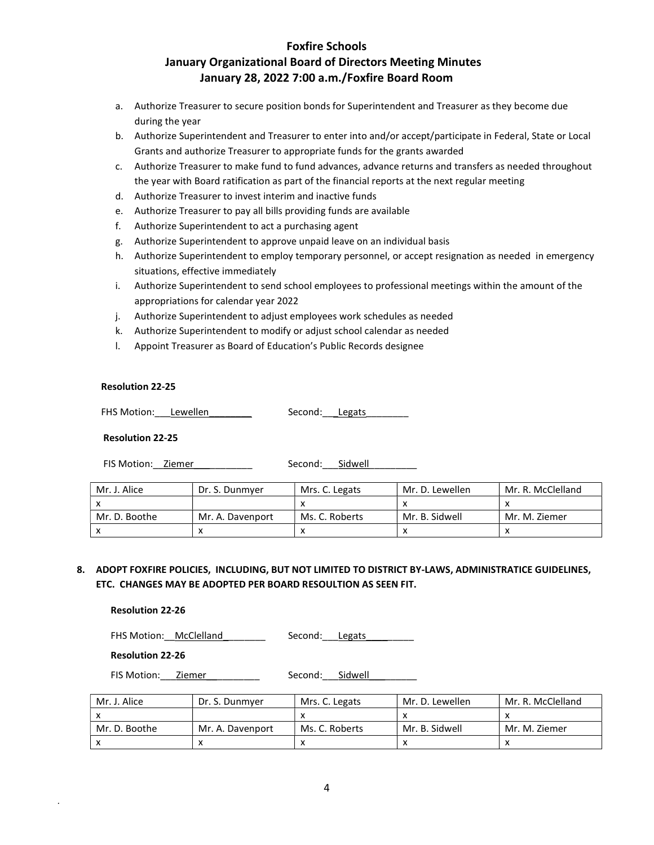- a. Authorize Treasurer to secure position bonds for Superintendent and Treasurer as they become due during the year
- b. Authorize Superintendent and Treasurer to enter into and/or accept/participate in Federal, State or Local Grants and authorize Treasurer to appropriate funds for the grants awarded
- c. Authorize Treasurer to make fund to fund advances, advance returns and transfers as needed throughout the year with Board ratification as part of the financial reports at the next regular meeting
- d. Authorize Treasurer to invest interim and inactive funds
- e. Authorize Treasurer to pay all bills providing funds are available
- f. Authorize Superintendent to act a purchasing agent
- g. Authorize Superintendent to approve unpaid leave on an individual basis
- h. Authorize Superintendent to employ temporary personnel, or accept resignation as needed in emergency situations, effective immediately
- i. Authorize Superintendent to send school employees to professional meetings within the amount of the appropriations for calendar year 2022
- j. Authorize Superintendent to adjust employees work schedules as needed
- k. Authorize Superintendent to modify or adjust school calendar as needed
- l. Appoint Treasurer as Board of Education's Public Records designee

## Resolution 22-25

FHS Motion: Lewellen \_\_\_\_\_\_\_ Second: Legats

## Resolution 22-25

FIS Motion: Ziemer \_\_\_\_\_\_\_\_\_ Second: Sidwell

| Mr. J. Alice  | Dr. S. Dunmver   | Mrs. C. Legats | Mr. D. Lewellen | Mr. R. McClelland |
|---------------|------------------|----------------|-----------------|-------------------|
|               |                  |                |                 |                   |
| Mr. D. Boothe | Mr. A. Davenport | Ms. C. Roberts | Mr. B. Sidwell  | Mr. M. Ziemer     |
|               |                  |                |                 |                   |

8. ADOPT FOXFIRE POLICIES, INCLUDING, BUT NOT LIMITED TO DISTRICT BY-LAWS, ADMINISTRATICE GUIDELINES, ETC. CHANGES MAY BE ADOPTED PER BOARD RESOULTION AS SEEN FIT.

Resolution 22-26

FHS Motion: McClelland Second: Legats

Resolution 22-26

.

FIS Motion: \_\_\_ Ziemer \_\_\_\_\_\_\_\_\_\_ Second: \_\_\_ Sidwell

| Mr. J. Alice  | Dr. S. Dunmver     | Mrs. C. Legats | Mr. D. Lewellen | Mr. R. McClelland |
|---------------|--------------------|----------------|-----------------|-------------------|
|               |                    |                |                 |                   |
| Mr. D. Boothe | . Mr. A. Davenport | Ms. C. Roberts | Mr. B. Sidwell  | Mr. M. Ziemer     |
|               |                    |                |                 |                   |